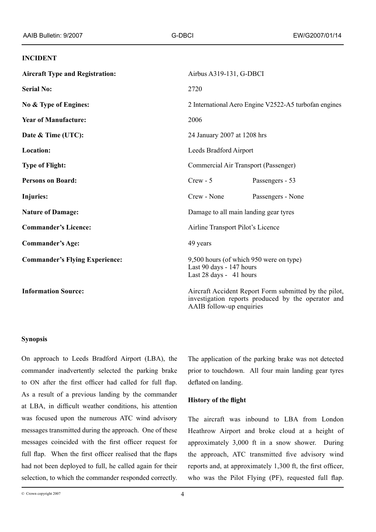#### **INCIDENT**

| <b>Aircraft Type and Registration:</b> | Airbus A319-131, G-DBCI                                                                                                                 |                   |
|----------------------------------------|-----------------------------------------------------------------------------------------------------------------------------------------|-------------------|
| <b>Serial No:</b>                      | 2720                                                                                                                                    |                   |
| No & Type of Engines:                  | 2 International Aero Engine V2522-A5 turbofan engines                                                                                   |                   |
| <b>Year of Manufacture:</b>            | 2006                                                                                                                                    |                   |
| Date & Time (UTC):                     | 24 January 2007 at 1208 hrs                                                                                                             |                   |
| Location:                              | Leeds Bradford Airport                                                                                                                  |                   |
| <b>Type of Flight:</b>                 | Commercial Air Transport (Passenger)                                                                                                    |                   |
| <b>Persons on Board:</b>               | $Crew - 5$                                                                                                                              | Passengers - 53   |
| Injuries:                              | Crew - None                                                                                                                             | Passengers - None |
| <b>Nature of Damage:</b>               | Damage to all main landing gear tyres                                                                                                   |                   |
| <b>Commander's Licence:</b>            | Airline Transport Pilot's Licence                                                                                                       |                   |
| <b>Commander's Age:</b>                | 49 years                                                                                                                                |                   |
| <b>Commander's Flying Experience:</b>  | 9,500 hours (of which 950 were on type)<br>Last 90 days - 147 hours<br>Last 28 days - 41 hours                                          |                   |
| <b>Information Source:</b>             | Aircraft Accident Report Form submitted by the pilot,<br>investigation reports produced by the operator and<br>AAIB follow-up enquiries |                   |

#### **Synopsis**

On approach to Leeds Bradford Airport (LBA), the commander inadvertently selected the parking brake to ON after the first officer had called for full flap. As a result of a previous landing by the commander at LBA, in difficult weather conditions, his attention was focused upon the numerous ATC wind advisory messages transmitted during the approach. One of these messages coincided with the first officer request for full flap. When the first officer realised that the flaps had not been deployed to full, he called again for their selection, to which the commander responded correctly. The application of the parking brake was not detected prior to touchdown. All four main landing gear tyres deflated on landing.

## **History of the flight**

The aircraft was inbound to LBA from London Heathrow Airport and broke cloud at a height of approximately 3,000 ft in a snow shower. During the approach, ATC transmitted five advisory wind reports and, at approximately 1,300 ft, the first officer, who was the Pilot Flying (PF), requested full flap.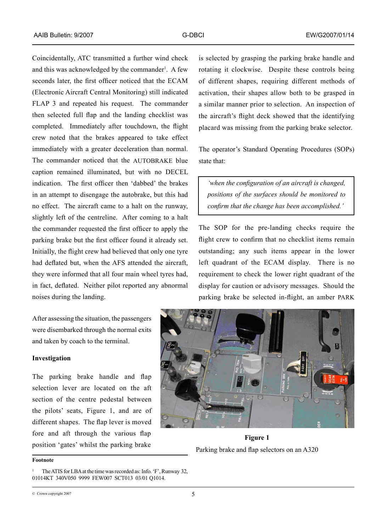Coincidentally, ATC transmitted a further wind check and this was acknowledged by the commander . A few seconds later, the first officer noticed that the ECAM (Electronic Aircraft Central Monitoring) still indicated FLAP 3 and repeated his request. The commander then selected full flap and the landing checklist was completed. Immediately after touchdown, the flight crew noted that the brakes appeared to take effect immediately with a greater deceleration than normal. The commander noticed that the AUTOBRAKE blue caption remained illuminated, but with no DECEL indication. The first officer then 'dabbed' the brakes in an attempt to disengage the autobrake, but this had no effect. The aircraft came to a halt on the runway, slightly left of the centreline. After coming to a halt the commander requested the first officer to apply the parking brake but the first officer found it already set. Initially, the flight crew had believed that only one tyre had deflated but, when the AFS attended the aircraft, they were informed that all four main wheel tyres had, in fact, deflated. Neither pilot reported any abnormal noises during the landing.

After assessing the situation, the passengers were disembarked through the normal exits and taken by coach to the terminal.

### **Investigation**

The parking brake handle and flap selection lever are located on the aft section of the centre pedestal between the pilots' seats, Figure 1, and are of different shapes. The flap lever is moved fore and aft through the various flap position 'gates' whilst the parking brake

is selected by grasping the parking brake handle and rotating it clockwise. Despite these controls being of different shapes, requiring different methods of activation, their shapes allow both to be grasped in a similar manner prior to selection. An inspection of the aircraft's flight deck showed that the identifying placard was missing from the parking brake selector.

The operator's Standard Operating Procedures (SOPs) state that:

*'when the configuration of an aircraft is changed, positions of the surfaces should be monitored to confirm that the change has been accomplished.'* 

The SOP for the pre-landing checks require the flight crew to confirm that no checklist items remain outstanding; any such items appear in the lower left quadrant of the ECAM display. There is no requirement to check the lower right quadrant of the display for caution or advisory messages. Should the parking brake be selected in-flight, an amber PARK



**Figure 1** Parking brake and flap selectors on an A320

**Footnote**

The ATIS for LBA at the time was recorded as: Info. 'F', Runway 32, 01014KT 340V050 9999 FEW007 SCT013 03/01 Q1014.

<sup>©</sup> Crown copyright 2007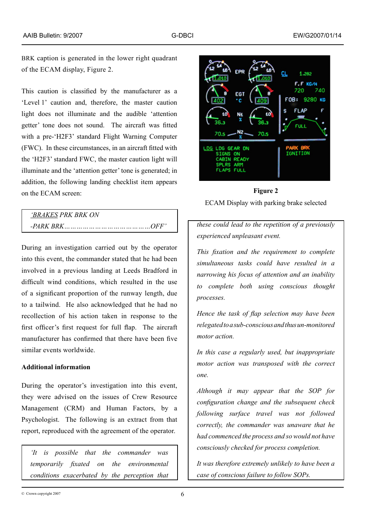BRK caption is generated in the lower right quadrant of the ECAM display, Figure 2.

This caution is classified by the manufacturer as a 'Level 1' caution and, therefore, the master caution light does not illuminate and the audible 'attention getter' tone does not sound. The aircraft was fitted with a pre-'H2F3' standard Flight Warning Computer (FWC). In these circumstances, in an aircraft fitted with the 'H2F3' standard FWC, the master caution light will illuminate and the 'attention getter' tone is generated; in addition, the following landing checklist item appears on the ECAM screen:

| <i>'BRAKES PRK BRK ON</i> |  |
|---------------------------|--|
|                           |  |

During an investigation carried out by the operator into this event, the commander stated that he had been involved in a previous landing at Leeds Bradford in difficult wind conditions, which resulted in the use of a significant proportion of the runway length, due to a tailwind. He also acknowledged that he had no recollection of his action taken in response to the first officer's first request for full flap. The aircraft manufacturer has confirmed that there have been five similar events worldwide.

## **Additional information**

During the operator's investigation into this event, they were advised on the issues of Crew Resource Management (CRM) and Human Factors, by a Psychologist. The following is an extract from that report, reproduced with the agreement of the operator.

*'It is possible that the commander was temporarily fixated on the environmental conditions exacerbated by the perception that* 



**Figure 2**  ECAM Display with parking brake selected

*these could lead to the repetition of a previously experienced unpleasant event.*

*This fixation and the requirement to complete simultaneous tasks could have resulted in a narrowing his focus of attention and an inability to complete both using conscious thought processes.*

*Hence the task of flap selection may have been relegated to a sub-conscious and thus un‑monitored motor action.*

*In this case a regularly used, but inappropriate motor action was transposed with the correct one.*

*Although it may appear that the SOP for configuration change and the subsequent check following surface travel was not followed correctly, the commander was unaware that he had commenced the process and so would not have consciously checked for process completion.*

*It was therefore extremely unlikely to have been a case of conscious failure to follow SOPs.*

© Crown copyright 2007